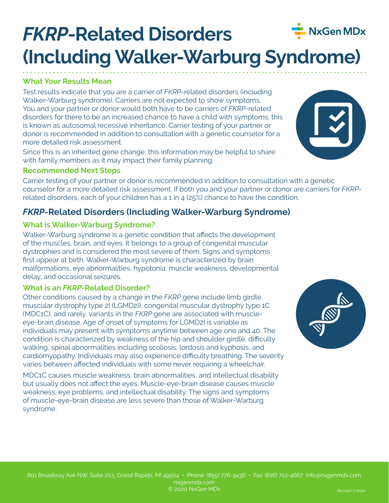# *FKRP***-Related Disorders (Including Walker-Warburg Syndrome)**

# **What Your Results Mean**

Test results indicate that you are a carrier of *FKRP*-related disorders (including Walker-Warburg syndrome). Carriers are not expected to show symptoms. You and your partner or donor would both have to be carriers of *FKRP*-related disorders for there to be an increased chance to have a child with symptoms; this is known as autosomal recessive inheritance. Carrier testing of your partner or donor is recommended in addition to consultation with a genetic counselor for a more detailed risk assessment.

Since this is an inherited gene change, this information may be helpful to share with family members as it may impact their family planning.

#### **Recommended Next Steps**

Carrier testing of your partner or donor is recommended in addition to consultation with a genetic counselor for a more detailed risk assessment. If both you and your partner or donor are carriers for *FKRP*related disorders, each of your children has a 1 in 4 (25%) chance to have the condition.

# *FKRP***-Related Disorders (Including Walker-Warburg Syndrome)**

## **What is Walker-Warburg Syndrome?**

Walker-Warburg syndrome is a genetic condition that affects the development of the muscles, brain, and eyes. It belongs to a group of congenital muscular dystrophies and is considered the most severe of them. Signs and symptoms first appear at birth. Walker-Warburg syndrome is characterized by brain malformations, eye abnormalities, hypotonia, muscle weakness, developmental delay, and occasional seizures.

## **What is an** *FKRP***-Related Disorder?**

Other conditions caused by a change in the *FKRP* gene include limb girdle muscular dystrophy type 2I (LGMD2I), congenital muscular dystrophy type 1C (MDC1C), and rarely, variants in the *FKRP* gene are associated with muscleeye-brain disease. Age of onset of symptoms for LGMD2I is variable as individuals may present with symptoms anytime between age one and 40. The condition is characterized by weakness of the hip and shoulder girdle, difficulty walking, spinal abnormalities including scoliosis, lordosis and kyphosis, and cardiomyopathy. Individuals may also experience difficulty breathing. The severity varies between affected individuals with some never requiring a wheelchair.

MDC1C causes muscle weakness, brain abnormalities, and intellectual disability but usually does not affect the eyes. Muscle-eye-brain disease causes muscle weakness, eye problems, and intellectual disability. The signs and symptoms of muscle-eye-brain disease are less severe than those of Walker-Warburg syndrome.







NxGen MDx